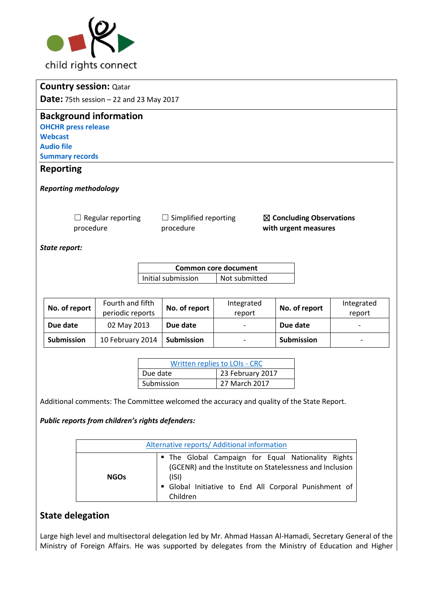

|                                                 | <b>Country session: Qatar</b>         |                                          |                             |                                                             |  |
|-------------------------------------------------|---------------------------------------|------------------------------------------|-----------------------------|-------------------------------------------------------------|--|
| <b>Date:</b> 75th session $-22$ and 23 May 2017 |                                       |                                          |                             |                                                             |  |
|                                                 | <b>Background information</b>         |                                          |                             |                                                             |  |
|                                                 | <b>OHCHR press release</b>            |                                          |                             |                                                             |  |
| <b>Webcast</b>                                  |                                       |                                          |                             |                                                             |  |
| <b>Audio file</b>                               |                                       |                                          |                             |                                                             |  |
| <b>Summary records</b>                          |                                       |                                          |                             |                                                             |  |
| <b>Reporting</b>                                |                                       |                                          |                             |                                                             |  |
|                                                 | <b>Reporting methodology</b>          |                                          |                             |                                                             |  |
|                                                 | $\Box$ Regular reporting<br>procedure | $\Box$ Simplified reporting<br>procedure |                             | $\boxtimes$ Concluding Observations<br>with urgent measures |  |
| State report:                                   |                                       |                                          |                             |                                                             |  |
|                                                 |                                       |                                          | <b>Common core document</b> |                                                             |  |
|                                                 |                                       | Initial submission                       | Not submitted               |                                                             |  |

| No. of report     | Fourth and fifth<br>periodic reports | No. of report     | Integrated<br>report     | No. of report     | Integrated<br>report |
|-------------------|--------------------------------------|-------------------|--------------------------|-------------------|----------------------|
| Due date          | 02 May 2013                          | Due date          | $\overline{\phantom{0}}$ | Due date          |                      |
| <b>Submission</b> | 10 February 2014                     | <b>Submission</b> | -                        | <b>Submission</b> | -                    |

| Written replies to LOIs - CRC |                  |  |
|-------------------------------|------------------|--|
| Due date                      | 23 February 2017 |  |
| Submission                    | 27 March 2017    |  |

Additional comments: The Committee welcomed the accuracy and quality of the State Report.

#### *Public reports from children's rights defenders:*

| Alternative reports/ Additional information |                                                                                                                                                                                            |  |  |  |
|---------------------------------------------|--------------------------------------------------------------------------------------------------------------------------------------------------------------------------------------------|--|--|--|
| <b>NGOs</b>                                 | " The Global Campaign for Equal Nationality Rights<br>(GCENR) and the Institute on Statelessness and Inclusion<br>(ISI)<br>Global Initiative to End All Corporal Punishment of<br>Children |  |  |  |

# **State delegation**

Large high level and multisectoral delegation led by Mr. Ahmad Hassan Al-Hamadi, Secretary General of the Ministry of Foreign Affairs. He was supported by delegates from the Ministry of Education and Higher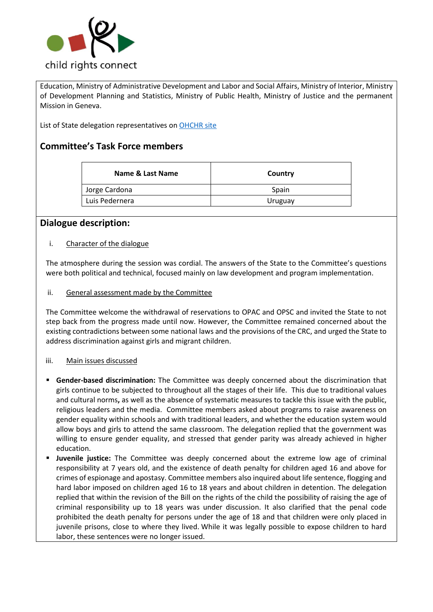

Education, Ministry of Administrative Development and Labor and Social Affairs, Ministry of Interior, Ministry of Development Planning and Statistics, Ministry of Public Health, Ministry of Justice and the permanent Mission in Geneva.

List of State delegation representatives on [OHCHR site](http://tbinternet.ohchr.org/Treaties/CRC/Shared%20Documents/QAT/INT_CRC_LOP_QAT_27285_E.pdf) 

# **Committee's Task Force members**

| Name & Last Name | Country |
|------------------|---------|
| Jorge Cardona    | Spain   |
| Luis Pedernera   | Uruguay |
|                  |         |

### **Dialogue description:**

#### i. Character of the dialogue

The atmosphere during the session was cordial. The answers of the State to the Committee's questions were both political and technical, focused mainly on law development and program implementation.

ii. General assessment made by the Committee

The Committee welcome the withdrawal of reservations to OPAC and OPSC and invited the State to not step back from the progress made until now. However, the Committee remained concerned about the existing contradictions between some national laws and the provisions of the CRC, and urged the State to address discrimination against girls and migrant children.

#### iii. Main issues discussed

- **Example Figure 3 Gender-based discrimination:** The Committee was deeply concerned about the discrimination that girls continue to be subjected to throughout all the stages of their life. This due to traditional values and cultural norms**,** as well as the absence of systematic measures to tackle this issue with the public, religious leaders and the media. Committee members asked about programs to raise awareness on gender equality within schools and with traditional leaders, and whether the education system would allow boys and girls to attend the same classroom. The delegation replied that the government was willing to ensure gender equality, and stressed that gender parity was already achieved in higher education.
- **Juvenile justice:** The Committee was deeply concerned about the extreme low age of criminal responsibility at 7 years old, and the existence of death penalty for children aged 16 and above for crimes of espionage and apostasy. Committee members also inquired about life sentence, flogging and hard labor imposed on children aged 16 to 18 years and about children in detention. The delegation replied that within the revision of the Bill on the rights of the child the possibility of raising the age of criminal responsibility up to 18 years was under discussion. It also clarified that the penal code prohibited the death penalty for persons under the age of 18 and that children were only placed in juvenile prisons, close to where they lived. While it was legally possible to expose children to hard labor, these sentences were no longer issued.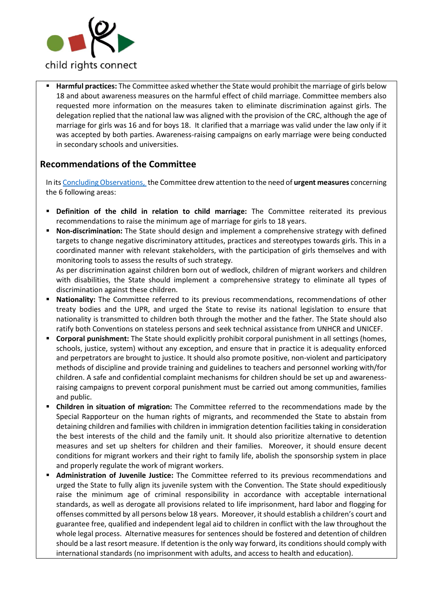

Harmful practices: The Committee asked whether the State would prohibit the marriage of girls below 18 and about awareness measures on the harmful effect of child marriage. Committee members also requested more information on the measures taken to eliminate discrimination against girls. The delegation replied that the national law was aligned with the provision of the CRC, although the age of marriage for girls was 16 and for boys 18. It clarified that a marriage was valid under the law only if it was accepted by both parties. Awareness-raising campaigns on early marriage were being conducted in secondary schools and universities.

## **Recommendations of the Committee**

In it[s Concluding Observations, t](http://tbinternet.ohchr.org/_layouts/treatybodyexternal/Download.aspx?symbolno=CRC%2fC%2fQAT%2fCO%2f3-4&Lang=en)he Committee drew attention to the need of **urgent measures** concerning the 6 following areas:

- **Definition of the child in relation to child marriage:** The Committee reiterated its previous recommendations to raise the minimum age of marriage for girls to 18 years.
- **Non-discrimination:** The State should design and implement a comprehensive strategy with defined targets to change negative discriminatory attitudes, practices and stereotypes towards girls. This in a coordinated manner with relevant stakeholders, with the participation of girls themselves and with monitoring tools to assess the results of such strategy.

As per discrimination against children born out of wedlock, children of migrant workers and children with disabilities, the State should implement a comprehensive strategy to eliminate all types of discrimination against these children.

- **EXEDENTIFY:** The Committee referred to its previous recommendations, recommendations of other treaty bodies and the UPR, and urged the State to revise its national legislation to ensure that nationality is transmitted to children both through the mother and the father. The State should also ratify both Conventions on stateless persons and seek technical assistance from UNHCR and UNICEF.
- **Corporal punishment:** The State should explicitly prohibit corporal punishment in all settings (homes, schools, justice, system) without any exception, and ensure that in practice it is adequality enforced and perpetrators are brought to justice. It should also promote positive, non-violent and participatory methods of discipline and provide training and guidelines to teachers and personnel working with/for children. A safe and confidential complaint mechanisms for children should be set up and awarenessraising campaigns to prevent corporal punishment must be carried out among communities, families and public.
- **Children in situation of migration:** The Committee referred to the recommendations made by the Special Rapporteur on the human rights of migrants, and recommended the State to abstain from detaining children and families with children in immigration detention facilities taking in consideration the best interests of the child and the family unit. It should also prioritize alternative to detention measures and set up shelters for children and their families. Moreover, it should ensure decent conditions for migrant workers and their right to family life, abolish the sponsorship system in place and properly regulate the work of migrant workers.
- **Administration of Juvenile Justice:** The Committee referred to its previous recommendations and urged the State to fully align its juvenile system with the Convention. The State should expeditiously raise the minimum age of criminal responsibility in accordance with acceptable international standards, as well as derogate all provisions related to life imprisonment, hard labor and flogging for offenses committed by all persons below 18 years. Moreover, it should establish a children's court and guarantee free, qualified and independent legal aid to children in conflict with the law throughout the whole legal process. Alternative measures for sentences should be fostered and detention of children should be a last resort measure. If detention is the only way forward, its conditions should comply with international standards (no imprisonment with adults, and access to health and education).